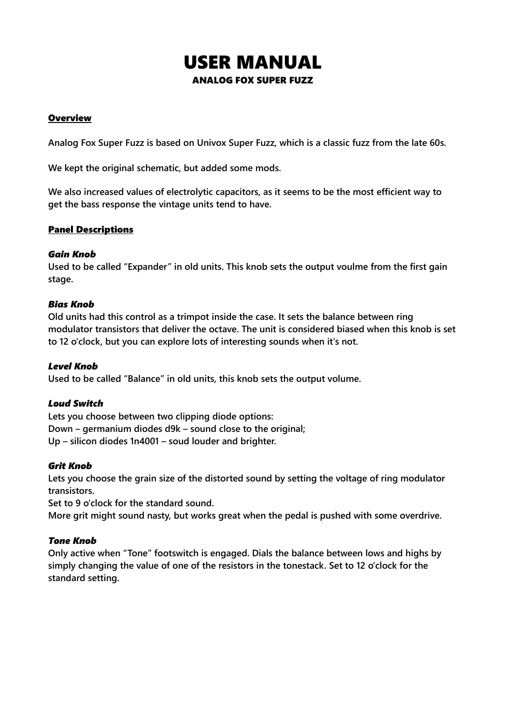# USER MANUAL ANALOG FOX SUPER FUZZ

# **Overview**

**Analog Fox Super Fuzz is based on Univox Super Fuzz, which is a classic fuzz from the late 60s.**

**We kept the original schematic, but added some mods.**

**We also increased values of electrolytic capacitors, as it seems to be the most efficient way to get the bass response the vintage units tend to have.** 

# Panel Descriptions

# *Gain Knob*

**Used to be called "Expander" in old units. This knob sets the output voulme from the first gain stage.**

# *Bias Knob*

**Old units had this control as a trimpot inside the case. It sets the balance between ring modulator transistors that deliver the octave. The unit is considered biased when this knob is set to 12 o'clock, but you can explore lots of interesting sounds when it's not.**

# *Level Knob*

**Used to be called "Balance" in old units, this knob sets the output volume.**

# *Loud Switch*

**Lets you choose between two clipping diode options: Down – germanium diodes d9k – sound close to the original; Up – silicon diodes 1n4001 – soud louder and brighter.**

#### *Grit Knob*

**Lets you choose the grain size of the distorted sound by setting the voltage of ring modulator transistors.** 

**Set to 9 o'clock for the standard sound.** 

**More grit might sound nasty, but works great when the pedal is pushed with some overdrive.** 

# *Tone Knob*

**Only active when "Tone" footswitch is engaged. Dials the balance between lows and highs by simply changing the value of one of the resistors in the tonestack. Set to 12 o'clock for the standard setting.**